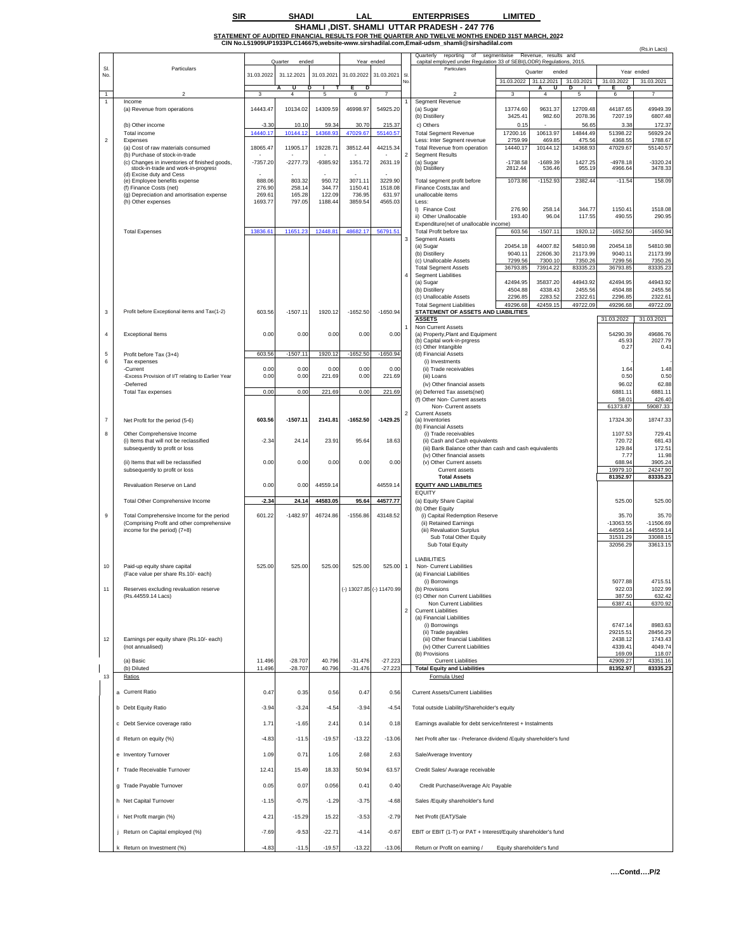## **SIR SHADI LAL ENTERPRISES LIMITED**

SHAMLI,DIST. SHAMLI TITAR PRADESH - 247 776<br>S<u>TATEMENT OF AUDITED FINANCIAL RESULTS FOR THE QUARTER AND TWELVE MONTHS ENDED 31ST MARCH, 202</u>2<br>CIN No.L51909UP1933PLC146675,website-www.sirshadilal.com,Email-udsm\_shamil@sirsh

|                |                                                                                                                  |                   |                        |                   |                        |                           | reporting of segmentwise Revenue, results and<br>Quarterly<br>capital employed under Regulation 33 of SEBI(LODR) Regulations, 2015. |                                                                                        |                       |                           | (Rs.in Lacs)        |                         |                         |
|----------------|------------------------------------------------------------------------------------------------------------------|-------------------|------------------------|-------------------|------------------------|---------------------------|-------------------------------------------------------------------------------------------------------------------------------------|----------------------------------------------------------------------------------------|-----------------------|---------------------------|---------------------|-------------------------|-------------------------|
| SI.            | Particulars                                                                                                      |                   | Quarter<br>ended       |                   |                        | Year ended                |                                                                                                                                     | Particulars                                                                            |                       | Quarter<br>ended          |                     |                         | Year ended              |
| No.            |                                                                                                                  | 31.03.2022        | 31.12.2021             | 31.03.2021        | 31.03.2022             | 31.03.2021                | <b>SI</b>                                                                                                                           |                                                                                        | 31.03.2022            | 31.12.2021                | 31.03.2021          | 31.03.2022              | 31.03.2021              |
| $\overline{1}$ | $\overline{z}$                                                                                                   | $\mathbf{3}$      | U<br>$\overline{4}$    | 5                 | D<br>6                 | $\overline{7}$            |                                                                                                                                     |                                                                                        | 3                     | U<br>A<br>4               | D<br>5              | Е<br>D<br>6             |                         |
| 1              | Income<br>(a) Revenue from operations                                                                            | 14443.47          | 10134.02               | 14309.59          | 46998.97               | 54925.20                  |                                                                                                                                     | Segment Revenue<br>(a) Sugar<br>(b) Distillery                                         | 13774.60<br>3425.41   | 9631.37<br>982.60         | 12709.48<br>2078.36 | 44187.65<br>7207.19     | 49949.39<br>6807.48     |
|                | (b) Other income                                                                                                 | $-3.30$           | 10.10                  | 59.34             | 30.70                  | 215.37                    |                                                                                                                                     | c) Others                                                                              | 0.15                  |                           | 56.65               | 3.38                    | 172.37                  |
| $\overline{2}$ | Total income<br>Expenses                                                                                         | 14440.17          | 10144.12               | 14368.9           | 47029.67               | 55140.57                  |                                                                                                                                     | <b>Total Segment Revenue</b><br>Less: Inter Segment revenue                            | 17200.16<br>2759.99   | 10613.97<br>469.85        | 14844.49<br>475.56  | 51398.22<br>4368.55     | 56929.24<br>1788.67     |
|                | (a) Cost of raw materials consumed<br>(b) Purchase of stock-in-trade                                             | 18065.47          | 11905.17               | 19228.71          | 38512.44               | 44215.34                  |                                                                                                                                     | Total Revenue from operation<br><b>Segment Results</b>                                 | 14440.17              | 10144.12                  | 14368.93            | 47029.67                | 55140.57                |
|                | (c) Changes in inventories of finished goods,<br>stock-in-trade and work-in-progress<br>(d) Excise duty and Cess | $-7357.20$        | $-2277.73$             | -9385.92          | 1351.72                | 2631.19                   |                                                                                                                                     | (a) Sugar<br>(b) Distillery                                                            | $-1738.58$<br>2812.44 | $-1689.39$<br>536.46      | 1427.25<br>955.19   | $-4978.18$<br>4966.64   | $-3320.24$<br>3478.33   |
|                | (e) Employee benefits expense<br>(f) Finance Costs (net)                                                         | 888.06<br>276.90  | 803.32<br>258.14       | 950.72<br>344.77  | 3071.11<br>1150.41     | 3229.90<br>1518.08        |                                                                                                                                     | Total segment profit before<br>Finance Costs, tax and                                  | 1073.86               | $-1152.93$                | 2382.44             | $-11.54$                | 158.09                  |
|                | (g) Depreciation and amortisation expense                                                                        | 269.61<br>1693.77 | 165.28<br>797.05       | 122.09<br>1188.44 | 736.95<br>3859.54      | 631.97<br>4565.03         |                                                                                                                                     | unallocable items<br>Less:                                                             |                       |                           |                     |                         |                         |
|                | (h) Other expenses                                                                                               |                   |                        |                   |                        |                           |                                                                                                                                     | I) Finance Cost<br>ii) Other Unallocable                                               | 276.90<br>193.40      | 258.14<br>96.04           | 344.77<br>117.55    | 1150.41<br>490.55       | 1518.08<br>290.95       |
|                | <b>Total Expenses</b>                                                                                            | 13836.6           | 11651.23               | 12448.81          | 48682.17               | 56791.51                  |                                                                                                                                     | Expenditure(net of unallocable income)<br>Total Profit before tax                      | 603.56                | $-1507.11$                | 1920.12             | $-1652.50$              | $-1650.94$              |
|                |                                                                                                                  |                   |                        |                   |                        |                           | 3                                                                                                                                   | <b>Segment Assets</b><br>(a) Sugar                                                     | 20454.18              | 44007.82                  | 54810.98            | 20454.18                | 54810.98                |
|                |                                                                                                                  |                   |                        |                   |                        |                           |                                                                                                                                     | (b) Distillery                                                                         | 9040.11               | 22606.30                  | 21173.99            | 9040.11                 | 21173.99                |
|                |                                                                                                                  |                   |                        |                   |                        |                           |                                                                                                                                     | (c) Unallocable Assets<br><b>Total Segment Assets</b>                                  | 7299.56<br>36793.85   | 7300.10<br>73914.22       | 7350.26<br>83335.23 | 7299.56<br>36793.85     | 7350.26<br>83335.23     |
|                |                                                                                                                  |                   |                        |                   |                        |                           | 4                                                                                                                                   | <b>Segment Liabilities</b><br>(a) Sugar                                                | 42494.95              | 35837.20                  | 44943.92            | 42494.95                | 44943.92                |
|                |                                                                                                                  |                   |                        |                   |                        |                           |                                                                                                                                     | (b) Distillery<br>(c) Unallocable Assets                                               | 4504.88<br>2296.85    | 4338.43<br>2283.52        | 2455.56<br>2322.61  | 4504.88<br>2296.85      | 2455.56<br>2322.61      |
|                |                                                                                                                  |                   |                        |                   |                        |                           |                                                                                                                                     | <b>Total Segment Liabilities</b>                                                       | 49296.68              | 42459.15                  | 49722.09            | 49296.68                | 49722.09                |
| $\mathbf 3$    | Profit before Exceptional items and Tax(1-2)                                                                     | 603.56            | $-1507.11$             | 1920.12           | $-1652.50$             | $-1650.94$                |                                                                                                                                     | STATEMENT OF ASSETS AND LIABILITIES<br><b>ASSETS</b>                                   |                       |                           |                     | 31.03.2022              | 31.03.2021              |
| $\sqrt{4}$     | <b>Exceptional Items</b>                                                                                         | 0.00              | 0.00                   | 0.00              | 0.00                   | 0.00                      |                                                                                                                                     | Non Current Assets<br>(a) Property, Plant and Equipment                                |                       |                           |                     | 54290.39                | 49686.76                |
|                |                                                                                                                  |                   |                        |                   |                        |                           |                                                                                                                                     | (b) Capital work-in-prgress                                                            |                       |                           |                     | 45.93                   | 2027.79                 |
| $\mathbf 5$    | Profit before Tax (3+4)                                                                                          | 603.56            | $-1507.11$             | 1920.12           | $-1652.50$             | $-1650.94$                |                                                                                                                                     | (c) Other Intangible<br>(d) Financial Assets                                           |                       |                           |                     | 0.27                    | 0.41                    |
| 6              | Tax expenses<br>-Current                                                                                         | 0.00              | 0.00                   | 0.00              | 0.00                   | 0.00                      |                                                                                                                                     | (i) Investments<br>(ii) Trade receivables                                              |                       |                           |                     | 1.64                    | 1.48                    |
|                | -Excess Provision of I/T relating to Earlier Year                                                                | 0.00              | 0.00                   | 221.69            | 0.00                   | 221.69                    |                                                                                                                                     | (iii) Loans                                                                            |                       |                           |                     | 0.50                    | 0.50                    |
|                | -Deferred<br><b>Total Tax expenses</b>                                                                           | 0.00              | 0.00                   | 221.69            | 0.00                   | 221.69                    |                                                                                                                                     | (iv) Other financial assets<br>(e) Deferred Tax assets(net)                            |                       |                           |                     | 96.02<br>6881.11        | 62.88<br>6881.11        |
|                |                                                                                                                  |                   |                        |                   |                        |                           |                                                                                                                                     | (f) Other Non- Current assets<br>Non- Current assets                                   |                       |                           |                     | 58.01<br>61373.87       | 426.40<br>59087.33      |
| $\overline{7}$ |                                                                                                                  | 603.56            | $-1507.11$             | 2141.81           | $-1652.50$             | $-1429.25$                |                                                                                                                                     | <b>Current Assets</b><br>(a) Inventories                                               |                       |                           |                     | 17324.30                | 18747.33                |
|                | Net Profit for the period (5-6)                                                                                  |                   |                        |                   |                        |                           |                                                                                                                                     | (b) Financial Assets                                                                   |                       |                           |                     |                         |                         |
| 8              | Other Comprehensive Income<br>(i) Items that will not be reclassified                                            | $-2.34$           | 24.14                  | 23.91             | 95.64                  | 18.63                     |                                                                                                                                     | (i) Trade receivables<br>(ii) Cash and Cash equivalents                                |                       |                           |                     | 1107.53<br>720.72       | 729.41<br>681.43        |
|                | subsequently to profit or loss                                                                                   |                   |                        |                   |                        |                           |                                                                                                                                     | (iii) Bank Balance other than cash and cash equivalents<br>(iv) Other financial assets |                       |                           |                     | 129.84<br>7.77          | 172.51<br>11.98         |
|                | (ii) Items that will be reclassified<br>subsequently to profit or loss                                           | 0.00              | 0.00                   | 0.00              | 0.00                   | 0.00                      |                                                                                                                                     | (v) Other Current assets<br>Current assets                                             |                       |                           |                     | 688.94<br>19979.10      | 3905.24<br>24247.90     |
|                |                                                                                                                  |                   |                        |                   |                        |                           |                                                                                                                                     | <b>Total Assets</b>                                                                    |                       |                           |                     | 81352.97                | 83335.23                |
|                | Revaluation Reserve on Land                                                                                      | 0.00              | 0.00                   | 44559.14          |                        | 44559.14                  |                                                                                                                                     | <b>EQUITY AND LIABILITIES</b><br><b>EQUITY</b>                                         |                       |                           |                     |                         |                         |
|                | Total Other Comprehensive Income                                                                                 | $-2.34$           | 24.14                  | 44583.05          | 95.64                  | 44577.77                  |                                                                                                                                     | (a) Equity Share Capital                                                               |                       |                           |                     | 525.00                  | 525.00                  |
| $\mathsf g$    | Total Comprehensive Income for the period                                                                        | 601.22            | $-1482.97$             | 46724.86          | $-1556.86$             | 43148.52                  |                                                                                                                                     | (b) Other Equity<br>(i) Capital Redemption Reserve                                     |                       |                           |                     | 35.70                   | 35.70                   |
|                | (Comprising Profit and other comprehensive<br>income for the period) (7+8)                                       |                   |                        |                   |                        |                           |                                                                                                                                     | (ii) Retained Earnings<br>(iii) Revaluation Surplus                                    |                       |                           |                     | $-13063.55$<br>44559.14 | $-11506.69$<br>44559.14 |
|                |                                                                                                                  |                   |                        |                   |                        |                           |                                                                                                                                     | Sub Total Other Equity<br>Sub Total Equity                                             |                       |                           |                     | 31531.29<br>32056.29    | 33088.15<br>33613.15    |
|                |                                                                                                                  |                   |                        |                   |                        |                           |                                                                                                                                     |                                                                                        |                       |                           |                     |                         |                         |
| 10             | Paid-up equity share capital                                                                                     | 525.00            | 525.00                 | 525.00            | 525.00                 | 525.00                    |                                                                                                                                     | <b>LIABILITIES</b><br>Non- Current Liabilities                                         |                       |                           |                     |                         |                         |
|                | (Face value per share Rs.10/- each)                                                                              |                   |                        |                   |                        |                           |                                                                                                                                     | (a) Financial Liabilities<br>(i) Borrowings                                            |                       |                           |                     | 5077.88                 | 4715.51                 |
| 11             | Reserves excluding revaluation reserve                                                                           |                   |                        |                   |                        | (-) 13027.85 (-) 11470.99 |                                                                                                                                     | (b) Provisions                                                                         |                       |                           |                     | 922.03                  | 1022.99                 |
|                | (Rs.44559.14 Lacs)                                                                                               |                   |                        |                   |                        |                           |                                                                                                                                     | (c) Other non Current Liabilities<br>Non Current Liabilities                           |                       |                           |                     | 387.50<br>6387.41       | 632.42<br>6370.92       |
|                |                                                                                                                  |                   |                        |                   |                        |                           | $\overline{2}$                                                                                                                      | <b>Current Liabilities</b><br>(a) Financial Liabilities                                |                       |                           |                     |                         |                         |
|                |                                                                                                                  |                   |                        |                   |                        |                           |                                                                                                                                     | (i) Borrowings<br>(ii) Trade payables                                                  |                       |                           |                     | 6747.14<br>29215.51     | 8983.63<br>28456.29     |
| 12             | Earnings per equity share (Rs.10/- each)                                                                         |                   |                        |                   |                        |                           |                                                                                                                                     | (iii) Other financial Liabilities                                                      |                       |                           |                     | 2438.12                 | 1743.43                 |
|                | (not annualised)                                                                                                 |                   |                        |                   |                        |                           |                                                                                                                                     | (iv) Other Current Liabilities<br>(b) Provisions                                       |                       |                           |                     | 4339.41<br>169.09       | 4049.74<br>118.07       |
|                | (a) Basic<br>(b) Diluted                                                                                         | 11.496<br>11.496  | $-28.707$<br>$-28.707$ | 40.796<br>40.796  | $-31.476$<br>$-31.476$ | $-27.223$<br>$-27.223$    |                                                                                                                                     | <b>Current Liabilities</b><br><b>Total Equity and Liabilities</b>                      |                       |                           |                     | 42909.27<br>81352.97    | 43351.16<br>83335.23    |
| 13             | Ratios                                                                                                           |                   |                        |                   |                        |                           |                                                                                                                                     | Formula Used                                                                           |                       |                           |                     |                         |                         |
|                | a Current Ratio                                                                                                  | 0.47              | 0.35                   | 0.56              | 0.47                   | 0.56                      |                                                                                                                                     | <b>Current Assets/Current Liabilities</b>                                              |                       |                           |                     |                         |                         |
|                | b Debt Equity Ratio                                                                                              | $-3.94$           | $-3.24$                | $-4.54$           | $-3.94$                | $-4.54$                   |                                                                                                                                     | Total outside Liability/Shareholder's equity                                           |                       |                           |                     |                         |                         |
|                |                                                                                                                  |                   |                        |                   |                        |                           |                                                                                                                                     |                                                                                        |                       |                           |                     |                         |                         |
|                | c Debt Service coverage ratio                                                                                    | 1.71              | $-1.65$                | 2.41              | 0.14                   | 0.18                      |                                                                                                                                     | Earnings available for debt service/Interest + Instalments                             |                       |                           |                     |                         |                         |
|                | d Return on equity (%)                                                                                           | $-4.83$           | $-11.5$                | $-19.57$          | $-13.22$               | $-13.06$                  |                                                                                                                                     | Net Profit after tax - Preferance dividend /Equity shareholder's fund                  |                       |                           |                     |                         |                         |
|                | e Inventory Turnover                                                                                             | 1.09              | 0.71                   | 1.05              | 2.68                   | 2.63                      |                                                                                                                                     | Sale/Average Inventory                                                                 |                       |                           |                     |                         |                         |
|                | f Trade Receivable Turnover                                                                                      | 12.41             | 15.49                  | 18.33             | 50.94                  | 63.57                     |                                                                                                                                     | Credit Sales/ Avarage receivable                                                       |                       |                           |                     |                         |                         |
|                | g Trade Payable Turnover                                                                                         | 0.05              | 0.07                   | 0.056             | 0.41                   | 0.40                      |                                                                                                                                     | Credit Purchase/Average A/c Payable                                                    |                       |                           |                     |                         |                         |
|                |                                                                                                                  |                   |                        |                   |                        |                           |                                                                                                                                     |                                                                                        |                       |                           |                     |                         |                         |
|                | h Net Capital Turnover                                                                                           | $-1.15$           | $-0.75$                | $-1.29$           | $-3.75$                | $-4.68$                   |                                                                                                                                     | Sales /Equity shareholder's fund                                                       |                       |                           |                     |                         |                         |
|                | i Net Profit margin (%)                                                                                          | 4.21              | $-15.29$               | 15.22             | $-3.53$                | $-2.79$                   |                                                                                                                                     | Net Profit (EAT)/Sale                                                                  |                       |                           |                     |                         |                         |
|                | Return on Capital employed (%)                                                                                   | $-7.69$           | $-9.53$                | $-22.71$          | $-4.14$                | $-0.67$                   |                                                                                                                                     | EBIT or EBIT (1-T) or PAT + Interest/Equity shareholder's fund                         |                       |                           |                     |                         |                         |
|                | k Return on Investment (%)                                                                                       | $-4.83$           | -11.5                  | $-19.57$          | $-13.22$               | $-13.06$                  |                                                                                                                                     | Return or Profit on earning /                                                          |                       | Equity shareholder's fund |                     |                         |                         |

**….Contd….P/2**